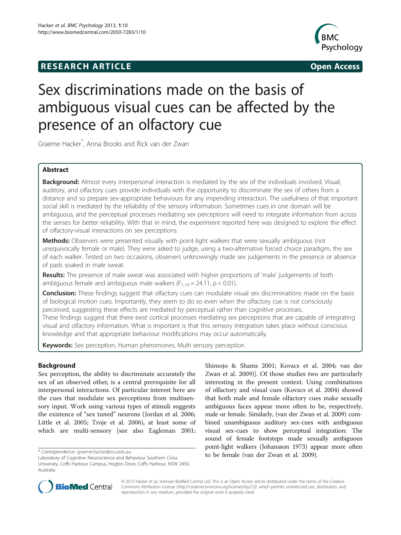# **RESEARCH ARTICLE Example 2014 CONSIDERING CONSIDERING CONSIDERING CONSIDERING CONSIDERING CONSIDERING CONSIDERING CONSIDERING CONSIDERING CONSIDERING CONSIDERING CONSIDERING CONSIDERING CONSIDERING CONSIDERING CONSIDE**



# Sex discriminations made on the basis of ambiguous visual cues can be affected by the presence of an olfactory cue

Graeme Hacker\* , Anna Brooks and Rick van der Zwan

# Abstract

Background: Almost every interpersonal interaction is mediated by the sex of the individuals involved. Visual, auditory, and olfactory cues provide individuals with the opportunity to discriminate the sex of others from a distance and so prepare sex-appropriate behaviours for any impending interaction. The usefulness of that important social skill is mediated by the reliability of the sensory information. Sometimes cues in one domain will be ambiguous, and the perceptual processes mediating sex perceptions will need to integrate information from across the senses for better reliability. With that in mind, the experiment reported here was designed to explore the effect of olfactory-visual interactions on sex perceptions.

Methods: Observers were presented visually with point-light walkers that were sexually ambiguous (not unequivocally female or male). They were asked to judge, using a two-alternative forced choice paradigm, the sex of each walker. Tested on two occasions, observers unknowingly made sex judgements in the presence or absence of pads soaked in male sweat.

Results: The presence of male sweat was associated with higher proportions of 'male' judgements of both ambiguous female and ambiguous male walkers ( $F_{1,19} = 24.11$ ,  $p < 0.01$ ).

Conclusion: These findings suggest that olfactory cues can modulate visual sex discriminations made on the basis of biological motion cues. Importantly, they seem to do so even when the olfactory cue is not consciously perceived, suggesting these effects are mediated by perceptual rather than cognitive processes.

These findings suggest that there exist cortical processes mediating sex perceptions that are capable of integrating visual and olfactory information. What is important is that this sensory integration takes place without conscious knowledge and that appropriate behaviour modifications may occur automatically.

Keywords: Sex perception, Human pheromones, Multi sensory perception

# **Background**

Sex perception, the ability to discriminate accurately the sex of an observed other, is a central prerequisite for all interpersonal interactions. Of particular interest here are the cues that modulate sex perceptions from multisensory input. Work using various types of stimuli suggests the existence of "sex tuned" neurons (Jordan et al. [2006](#page-5-0); Little et al. [2005](#page-5-0); Troje et al. [2006\)](#page-5-0), at least some of which are multi-sensory [see also Eagleman [2001](#page-5-0);

Shimojo & Shams [2001;](#page-5-0) Kovacs et al. [2004;](#page-5-0) van der Zwan et al. [2009](#page-5-0))]. Of those studies two are particularly interesting in the present context. Using combinations of olfactory and visual cues (Kovacs et al. [2004](#page-5-0)) showed that both male and female olfactory cues make sexually ambiguous faces appear more often to be, respectively, male or female. Similarly, (van der Zwan et al. [2009\)](#page-5-0) combined unambiguous auditory sex-cues with ambiguous visual sex-cues to show perceptual integration: The sound of female footsteps made sexually ambiguous point-light walkers (Johansson [1973](#page-5-0)) appear more often \* Correspondence: graeme.hacker@scu.edu.au by the female (van der Zwan et al. [2009](#page-5-0)).



© 2013 Hacker et al.; licensee BioMed Central Ltd. This is an Open Access article distributed under the terms of the Creative Commons Attribution License [\(http://creativecommons.org/licenses/by/2.0\)](http://creativecommons.org/licenses/by/2.0), which permits unrestricted use, distribution, and reproduction in any medium, provided the original work is properly cited.

Laboratory of Cognitive Neuroscience and Behaviour Southern Cross University, Coffs Harbour Campus, Hogbin Drive, Coffs Harbour, NSW 2450, Australia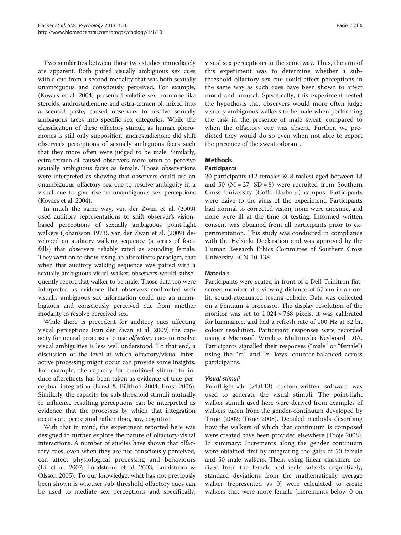Two similarities between those two studies immediately are apparent. Both paired visually ambiguous sex cues with a cue from a second modality that was both sexually unambiguous and consciously perceived. For example, (Kovacs et al. [2004](#page-5-0)) presented volatile sex hormone-like steroids, androstadienone and estra-tetraen-ol, mixed into a scented paste, caused observers to resolve sexually ambiguous faces into specific sex categories. While the classification of these olfactory stimuli as human pheromones is still only supposition, androstadienone did shift observer's perceptions of sexually ambiguous faces such that they more often were judged to be male. Similarly, estra-tetraen-ol caused observers more often to perceive sexually ambiguous faces as female. Those observations were interpreted as showing that observers could use an unambiguous olfactory sex cue to resolve ambiguity in a visual cue to give rise to unambiguous sex perceptions (Kovacs et al. [2004](#page-5-0)).

In much the same way, van der Zwan et al. ([2009](#page-5-0)) used auditory representations to shift observer's visionbased perceptions of sexually ambiguous point-light walkers (Johansson [1973](#page-5-0)). van der Zwan et al. ([2009\)](#page-5-0) developed an auditory walking sequence (a series of footfalls) that observers reliably rated as sounding female. They went on to show, using an aftereffects paradigm, that when that auditory walking sequence was paired with a sexually ambiguous visual walker, observers would subsequently report that walker to be male. Those data too were interpreted as evidence that observers confronted with visually ambiguous sex information could use an unambiguous and consciously perceived cue from another modality to resolve perceived sex.

While there is precedent for auditory cues affecting visual perceptions (van der Zwan et al. [2009\)](#page-5-0) the capacity for neural processes to use olfactory cues to resolve visual ambiguities is less well understood. To that end, a discussion of the level at which olfactory/visual interactive processing might occur can provide some insights. For example, the capacity for combined stimuli to induce aftereffects has been taken as evidence of true perceptual integration (Ernst & Bülthoff [2004](#page-5-0); Ernst [2006](#page-5-0)). Similarly, the capacity for sub-threshold stimuli mutually to influence resulting perceptions can be interpreted as evidence that the processes by which that integration occurs are perceptual rather than, say, cognitive.

With that in mind, the experiment reported here was designed to further explore the nature of olfactory-visual interactions. A number of studies have shown that olfactory cues, even when they are not consciously perceived, can affect physiological processing and behaviours (Li et al. [2007;](#page-5-0) Lundstrom et al. [2003;](#page-5-0) Lundstrom & Olsson [2005\)](#page-5-0). To our knowledge, what has not previously been shown is whether sub-threshold olfactory cues can be used to mediate sex perceptions and specifically, visual sex perceptions in the same way. Thus, the aim of this experiment was to determine whether a subthreshold olfactory sex cue could affect perceptions in the same way as such cues have been shown to affect mood and arousal. Specifically, this experiment tested the hypothesis that observers would more often judge visually ambiguous walkers to be male when performing the task in the presence of male sweat, compared to when the olfactory cue was absent. Further, we predicted they would do so even when not able to report the presence of the sweat odorant.

# Methods

#### **Participants**

20 participants (12 females & 8 males) aged between 18 and 50 ( $M = 27$ ,  $SD = 8$ ) were recruited from Southern Cross University (Coffs Harbour) campus. Participants were naive to the aims of the experiment. Participants had normal to corrected vision, none were anosmic, and none were ill at the time of testing. Informed written consent was obtained from all participants prior to experimentation. This study was conducted in compliance with the Helsinki Declaration and was approved by the Human Research Ethics Committee of Southern Cross University ECN-10-138.

# **Materials**

Participants were seated in front of a Dell Trinitron flatscreen monitor at a viewing distance of 57 cm in an unlit, sound-attenuated testing cubicle. Data was collected on a Pentium 4 processor. The display resolution of the monitor was set to  $1,024 \times 768$  pixels, it was calibrated for luminance, and had a refresh rate of 100 Hz at 32 bit colour resolution. Participant responses were recorded using a Microsoft Wireless Multimedia Keyboard 1.0A. Participants signalled their responses ("male" or "female") using the "m" and "z" keys, counter-balanced across participants.

# Visual stimuli

PointLightLab (v4.0.13) custom-written software was used to generate the visual stimuli. The point-light walker stimuli used here were derived from examples of walkers taken from the gender-continuum developed by Troje ([2002;](#page-5-0) Troje [2008](#page-5-0)). Detailed methods describing how the walkers of which that continuum is composed were created have been provided elsewhere (Troje [2008](#page-5-0)). In summary: Increments along the gender continuum were obtained first by integrating the gaits of 50 female and 50 male walkers. Then, using linear classifiers derived from the female and male subsets respectively, standard deviations from the mathematically average walker (represented as 0) were calculated to create walkers that were more female (increments below 0 on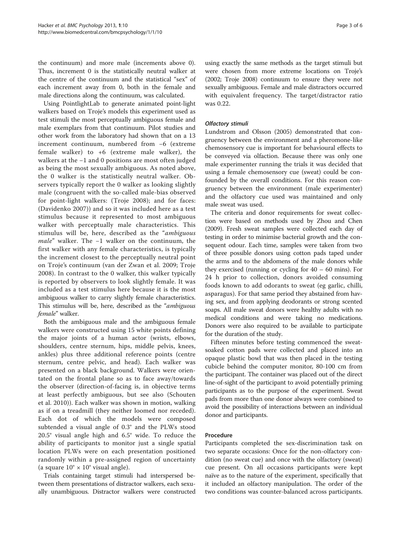the continuum) and more male (increments above 0). Thus, increment 0 is the statistically neutral walker at the centre of the continuum and the statistical "sex" of each increment away from 0, both in the female and male directions along the continuum, was calculated.

Using PointlightLab to generate animated point-light walkers based on Troje's models this experiment used as test stimuli the most perceptually ambiguous female and male exemplars from that continuum. Pilot studies and other work from the laboratory had shown that on a 13 increment continuum, numbered from −6 (extreme female walker) to +6 (extreme male walker), the walkers at the −1 and 0 positions are most often judged as being the most sexually ambiguous. As noted above, the 0 walker is the statistically neutral walker. Observers typically report the 0 walker as looking slightly male (congruent with the so-called male-bias observed for point-light walkers: (Troje [2008](#page-5-0)); and for faces: (Davidenko [2007\)](#page-5-0)) and so it was included here as a test stimulus because it represented to most ambiguous walker with perceptually male characteristics. This stimulus will be, here, described as the "ambiguous male" walker. The −1 walker on the continuum, the first walker with any female characteristics, is typically the increment closest to the perceptually neutral point on Troje's continuum (van der Zwan et al. [2009](#page-5-0); Troje [2008](#page-5-0)). In contrast to the 0 walker, this walker typically is reported by observers to look slightly female. It was included as a test stimulus here because it is the most ambiguous walker to carry slightly female characteristics. This stimulus will be, here, described as the "ambiguous" female" walker.

Both the ambiguous male and the ambiguous female walkers were constructed using 15 white points defining the major joints of a human actor (wrists, elbows, shoulders, centre sternum, hips, middle pelvis, knees, ankles) plus three additional reference points (centre sternum, centre pelvic, and head). Each walker was presented on a black background. Walkers were orientated on the frontal plane so as to face away/towards the observer (direction-of-facing is, in objective terms at least perfectly ambiguous, but see also (Schouten et al. [2010\)](#page-5-0)). Each walker was shown in motion, walking as if on a treadmill (they neither loomed nor receded). Each dot of which the models were composed subtended a visual angle of 0.3° and the PLWs stood 20.5° visual angle high and 6.5° wide. To reduce the ability of participants to monitor just a single spatial location PLWs were on each presentation positioned randomly within a pre-assigned region of uncertainty (a square  $10^{\circ} \times 10^{\circ}$  visual angle).

Trials containing target stimuli had interspersed between them presentations of distractor walkers, each sexually unambiguous. Distractor walkers were constructed

using exactly the same methods as the target stimuli but were chosen from more extreme locations on Troje's ([2002](#page-5-0); Troje [2008](#page-5-0)) continuum to ensure they were not sexually ambiguous. Female and male distractors occurred with equivalent frequency. The target/distractor ratio was 0.22.

# Olfactory stimuli

Lundstrom and Olsson ([2005\)](#page-5-0) demonstrated that congruency between the environment and a pheromone-like chemosensory cue is important for behavioural effects to be conveyed via olfaction. Because there was only one male experimenter running the trials it was decided that using a female chemosensory cue (sweat) could be confounded by the overall conditions. For this reason congruency between the environment (male experimenter) and the olfactory cue used was maintained and only male sweat was used.

The criteria and donor requirements for sweat collection were based on methods used by Zhou and Chen ([2009](#page-5-0)). Fresh sweat samples were collected each day of testing in order to minimise bacterial growth and the consequent odour. Each time, samples were taken from two of three possible donors using cotton pads taped under the arms and to the abdomens of the male donors while they exercised (running or cycling for 40 – 60 mins). For 24 h prior to collection, donors avoided consuming foods known to add odorants to sweat (eg garlic, chilli, asparagus). For that same period they abstained from having sex, and from applying deodorants or strong scented soaps. All male sweat donors were healthy adults with no medical conditions and were taking no medications. Donors were also required to be available to participate for the duration of the study.

Fifteen minutes before testing commenced the sweatsoaked cotton pads were collected and placed into an opaque plastic bowl that was then placed in the testing cubicle behind the computer monitor, 80-100 cm from the participant. The container was placed out of the direct line-of-sight of the participant to avoid potentially priming participants as to the purpose of the experiment. Sweat pads from more than one donor always were combined to avoid the possibility of interactions between an individual donor and participants.

# Procedure

Participants completed the sex-discrimination task on two separate occasions: Once for the non-olfactory condition (no sweat cue) and once with the olfactory (sweat) cue present. On all occasions participants were kept naïve as to the nature of the experiment, specifically that it included an olfactory manipulation. The order of the two conditions was counter-balanced across participants.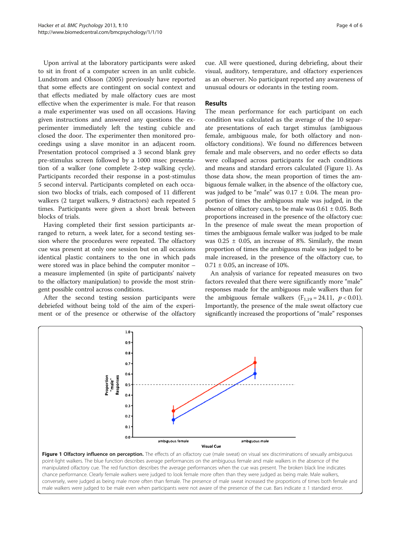Upon arrival at the laboratory participants were asked to sit in front of a computer screen in an unlit cubicle. Lundstrom and Olsson ([2005](#page-5-0)) previously have reported that some effects are contingent on social context and that effects mediated by male olfactory cues are most effective when the experimenter is male. For that reason a male experimenter was used on all occasions. Having given instructions and answered any questions the experimenter immediately left the testing cubicle and closed the door. The experimenter then monitored proceedings using a slave monitor in an adjacent room. Presentation protocol comprised a 3 second blank grey pre-stimulus screen followed by a 1000 msec presentation of a walker (one complete 2-step walking cycle). Participants recorded their response in a post-stimulus 5 second interval. Participants completed on each occasion two blocks of trials, each composed of 11 different walkers (2 target walkers, 9 distractors) each repeated 5 times. Participants were given a short break between blocks of trials.

Having completed their first session participants arranged to return, a week later, for a second testing session where the procedures were repeated. The olfactory cue was present at only one session but on all occasions identical plastic containers to the one in which pads were stored was in place behind the computer monitor – a measure implemented (in spite of participants' naivety to the olfactory manipulation) to provide the most stringent possible control across conditions.

After the second testing session participants were debriefed without being told of the aim of the experiment or of the presence or otherwise of the olfactory

cue. All were questioned, during debriefing, about their visual, auditory, temperature, and olfactory experiences as an observer. No participant reported any awareness of unusual odours or odorants in the testing room.

#### Results

The mean performance for each participant on each condition was calculated as the average of the 10 separate presentations of each target stimulus (ambiguous female, ambiguous male, for both olfactory and nonolfactory conditions). We found no differences between female and male observers, and no order effects so data were collapsed across participants for each conditions and means and standard errors calculated (Figure 1). As those data show, the mean proportion of times the ambiguous female walker, in the absence of the olfactory cue, was judged to be "male" was  $0.17 \pm 0.04$ . The mean proportion of times the ambiguous male was judged, in the absence of olfactory cues, to be male was  $0.61 \pm 0.05$ . Both proportions increased in the presence of the olfactory cue: In the presence of male sweat the mean proportion of times the ambiguous female walker was judged to be male was  $0.25 \pm 0.05$ , an increase of 8%. Similarly, the mean proportion of times the ambiguous male was judged to be male increased, in the presence of the olfactory cue, to  $0.71 \pm 0.05$ , an increase of 10%.

An analysis of variance for repeated measures on two factors revealed that there were significantly more "male" responses made for the ambiguous male walkers than for the ambiguous female walkers  $(F_{1,19} = 24.11, p < 0.01)$ . Importantly, the presence of the male sweat olfactory cue significantly increased the proportions of "male" responses



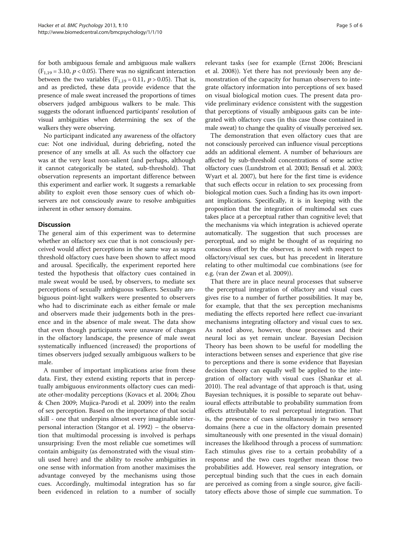for both ambiguous female and ambiguous male walkers  $(F<sub>1,19</sub> = 3.10, p < 0.05)$ . There was no significant interaction between the two variables ( $F_{1,19} = 0.11$ ,  $p > 0.05$ ). That is, and as predicted, these data provide evidence that the presence of male sweat increased the proportions of times observers judged ambiguous walkers to be male. This suggests the odorant influenced participants' resolution of visual ambiguities when determining the sex of the walkers they were observing.

No participant indicated any awareness of the olfactory cue: Not one individual, during debriefing, noted the presence of any smells at all. As such the olfactory cue was at the very least non-salient (and perhaps, although it cannot categorically be stated, sub-threshold). That observation represents an important difference between this experiment and earlier work. It suggests a remarkable ability to exploit even those sensory cues of which observers are not consciously aware to resolve ambiguities inherent in other sensory domains.

# **Discussion**

The general aim of this experiment was to determine whether an olfactory sex cue that is not consciously perceived would affect perceptions in the same way as supra threshold olfactory cues have been shown to affect mood and arousal. Specifically, the experiment reported here tested the hypothesis that olfactory cues contained in male sweat would be used, by observers, to mediate sex perceptions of sexually ambiguous walkers. Sexually ambiguous point-light walkers were presented to observers who had to discriminate each as either female or male and observers made their judgements both in the presence and in the absence of male sweat. The data show that even though participants were unaware of changes in the olfactory landscape, the presence of male sweat systematically influenced (increased) the proportions of times observers judged sexually ambiguous walkers to be male.

A number of important implications arise from these data. First, they extend existing reports that in perceptually ambiguous environments olfactory cues can mediate other-modality perceptions (Kovacs et al. [2004](#page-5-0); Zhou & Chen [2009;](#page-5-0) Mujica-Parodi et al. [2009\)](#page-5-0) into the realm of sex perception. Based on the importance of that social skill - one that underpins almost every imaginable interpersonal interaction (Stangor et al. [1992](#page-5-0)) – the observation that multimodal processing is involved is perhaps unsurprising: Even the most reliable cue sometimes will contain ambiguity (as demonstrated with the visual stimuli used here) and the ability to resolve ambiguities in one sense with information from another maximises the advantage conveyed by the mechanisms using those cues. Accordingly, multimodal integration has so far been evidenced in relation to a number of socially relevant tasks (see for example (Ernst [2006](#page-5-0); Bresciani et al. [2008\)](#page-5-0)). Yet there has not previously been any demonstration of the capacity for human observers to integrate olfactory information into perceptions of sex based on visual biological motion cues. The present data provide preliminary evidence consistent with the suggestion that perceptions of visually ambiguous gaits can be integrated with olfactory cues (in this case those contained in male sweat) to change the quality of visually perceived sex.

The demonstration that even olfactory cues that are not consciously perceived can influence visual perceptions adds an additional element. A number of behaviours are affected by sub-threshold concentrations of some active olfactory cues (Lundstrom et al. [2003;](#page-5-0) Bensafi et al. [2003](#page-5-0); Wyart et al. [2007](#page-5-0)), but here for the first time is evidence that such effects occur in relation to sex processing from biological motion cues. Such a finding has its own important implications. Specifically, it is in keeping with the proposition that the integration of multimodal sex cues takes place at a perceptual rather than cognitive level; that the mechanisms via which integration is achieved operate automatically. The suggestion that such processes are perceptual, and so might be thought of as requiring no conscious effort by the observer, is novel with respect to olfactory/visual sex cues, but has precedent in literature relating to other multimodal cue combinations (see for e.g. (van der Zwan et al. [2009](#page-5-0))).

That there are in place neural processes that subserve the perceptual integration of olfactory and visual cues gives rise to a number of further possibilities. It may be, for example, that that the sex perception mechanisms mediating the effects reported here reflect cue-invariant mechanisms integrating olfactory and visual cues to sex. As noted above, however, those processes and their neural loci as yet remain unclear. Bayesian Decision Theory has been shown to be useful for modelling the interactions between senses and experience that give rise to perceptions and there is some evidence that Bayesian decision theory can equally well be applied to the integration of olfactory with visual cues (Shankar et al. [2010](#page-5-0)). The real advantage of that approach is that, using Bayesian techniques, it is possible to separate out behavioural effects attributable to probability summation from effects attributable to real perceptual integration. That is, the presence of cues simultaneously in two sensory domains (here a cue in the olfactory domain presented simultaneously with one presented in the visual domain) increases the likelihood through a process of summation: Each stimulus gives rise to a certain probability of a response and the two cues together mean those two probabilities add. However, real sensory integration, or perceptual binding such that the cues in each domain are perceived as coming from a single source, give facilitatory effects above those of simple cue summation. To